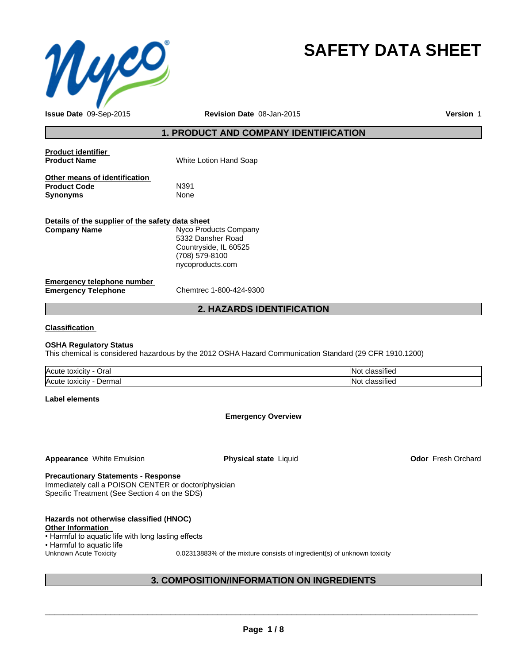

# **SAFETY DATA SHEET**

**Issue Date** 09-Sep-2015 **Revision Date** 08-Jan-2015

**Version** 1

## **1. PRODUCT AND COMPANY IDENTIFICATION**

| <b>Product identifier</b><br><b>Product Name</b>                        | White Lotion Hand Soap                                                                                    |
|-------------------------------------------------------------------------|-----------------------------------------------------------------------------------------------------------|
| Other means of identification<br><b>Product Code</b><br><b>Synonyms</b> | N391<br><b>None</b>                                                                                       |
| Details of the supplier of the safety data sheet<br><b>Company Name</b> | Nyco Products Company<br>5332 Dansher Road<br>Countryside, IL 60525<br>(708) 579-8100<br>nycoproducts.com |
| Emergency telephone number<br><b>Emergency Telephone</b>                | Chemtrec 1-800-424-9300                                                                                   |

### **2. HAZARDS IDENTIFICATION**

#### **Classification**

#### **OSHA Regulatory Status**

This chemical is considered hazardous by the 2012 OSHA Hazard Communication Standard (29 CFR 1910.1200)

| <b>Acute</b><br>-<br>Jral<br>toxicity | $\cdot$<br>assified    |
|---------------------------------------|------------------------|
| Acute<br>Dermal<br>toxicity           | $\cdots$<br>classified |

#### **Label elements**

#### **Emergency Overview**

**Appearance** White Emulsion **Physical state** Liquid **Odor** Fresh Orchard

### **Precautionary Statements - Response**

Immediately call a POISON CENTER or doctor/physician Specific Treatment (See Section 4 on the SDS)

| Hazards not otherwise classified (HNOC)             |                                                                          |
|-----------------------------------------------------|--------------------------------------------------------------------------|
| <b>Other Information</b>                            |                                                                          |
| • Harmful to aquatic life with long lasting effects |                                                                          |
| • Harmful to aquatic life                           |                                                                          |
| Unknown Acute Toxicity                              | 0.02313883% of the mixture consists of ingredient(s) of unknown toxicity |
|                                                     |                                                                          |

### **3. COMPOSITION/INFORMATION ON INGREDIENTS**

 $\overline{\phantom{a}}$  ,  $\overline{\phantom{a}}$  ,  $\overline{\phantom{a}}$  ,  $\overline{\phantom{a}}$  ,  $\overline{\phantom{a}}$  ,  $\overline{\phantom{a}}$  ,  $\overline{\phantom{a}}$  ,  $\overline{\phantom{a}}$  ,  $\overline{\phantom{a}}$  ,  $\overline{\phantom{a}}$  ,  $\overline{\phantom{a}}$  ,  $\overline{\phantom{a}}$  ,  $\overline{\phantom{a}}$  ,  $\overline{\phantom{a}}$  ,  $\overline{\phantom{a}}$  ,  $\overline{\phantom{a}}$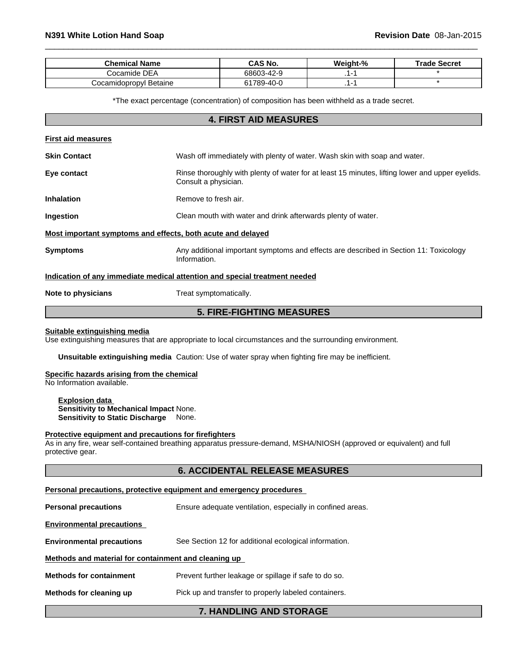| <b>Chemical Name</b>      | <b>CAS No.</b>  | Weight-% | <b>Trade Secret</b> |
|---------------------------|-----------------|----------|---------------------|
| Cocamide DEA              | 68603-42-9      |          |                     |
| Betaine<br>Cocamidopropyl | 1789-40-0<br>61 |          |                     |

 $\overline{\phantom{a}}$  ,  $\overline{\phantom{a}}$  ,  $\overline{\phantom{a}}$  ,  $\overline{\phantom{a}}$  ,  $\overline{\phantom{a}}$  ,  $\overline{\phantom{a}}$  ,  $\overline{\phantom{a}}$  ,  $\overline{\phantom{a}}$  ,  $\overline{\phantom{a}}$  ,  $\overline{\phantom{a}}$  ,  $\overline{\phantom{a}}$  ,  $\overline{\phantom{a}}$  ,  $\overline{\phantom{a}}$  ,  $\overline{\phantom{a}}$  ,  $\overline{\phantom{a}}$  ,  $\overline{\phantom{a}}$ 

\*The exact percentage (concentration) of composition has been withheld as a trade secret.

# **4. FIRST AID MEASURES First aid measures Skin Contact** Wash off immediately with plenty of water. Wash skin with soap and water. **Eye contact Rinse thoroughly with plenty of water for at least 15 minutes, lifting lower and upper eyelids.** Consult a physician. **Inhalation** Remove to fresh air. **Ingestion Ingestion Clean mouth with water and drink afterwards plenty of water. Most important symptoms and effects, both acute and delayed Symptoms Any additional important symptoms and effects are described in Section 11: Toxicology** Information. **Indication of any immediate medical attention and special treatment needed Note to physicians** Treat symptomatically. **5. FIRE-FIGHTING MEASURES**

**Suitable extinguishing media**

Use extinguishing measures that are appropriate to local circumstances and the surrounding environment.

**Unsuitable extinguishing media** Caution: Use of water spray when fighting fire may be inefficient.

#### **Specific hazards arising from the chemical**

No Information available.

**Explosion data Sensitivity to Mechanical Impact** None. **Sensitivity to Static Discharge** None.

#### **Protective equipment and precautions for firefighters**

As in any fire, wear self-contained breathing apparatus pressure-demand, MSHA/NIOSH (approved or equivalent) and full protective gear.

|                                                      | <b>6. ACCIDENTAL RELEASE MEASURES</b>                               |
|------------------------------------------------------|---------------------------------------------------------------------|
|                                                      | Personal precautions, protective equipment and emergency procedures |
| <b>Personal precautions</b>                          | Ensure adequate ventilation, especially in confined areas.          |
| <b>Environmental precautions</b>                     |                                                                     |
| <b>Environmental precautions</b>                     | See Section 12 for additional ecological information.               |
| Methods and material for containment and cleaning up |                                                                     |
| <b>Methods for containment</b>                       | Prevent further leakage or spillage if safe to do so.               |
| Methods for cleaning up                              | Pick up and transfer to properly labeled containers.                |
|                                                      | <b>7. HANDLING AND STORAGE</b>                                      |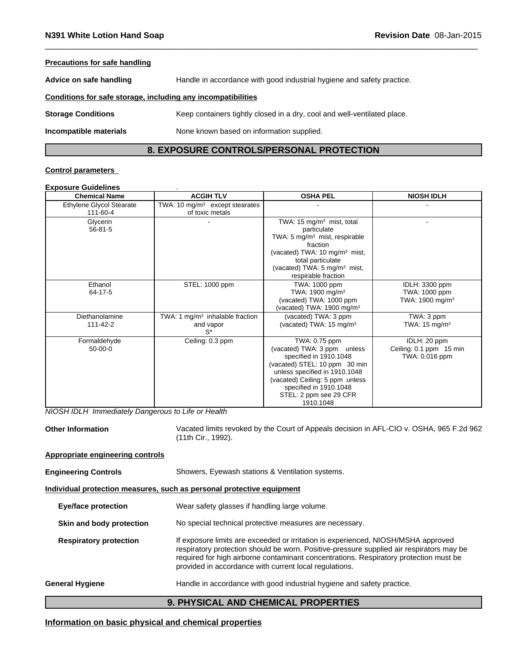| <b>Precautions for safe handling</b>                         |                                                                          |
|--------------------------------------------------------------|--------------------------------------------------------------------------|
| Advice on safe handling                                      | Handle in accordance with good industrial hygiene and safety practice.   |
| Conditions for safe storage, including any incompatibilities |                                                                          |
| <b>Storage Conditions</b>                                    | Keep containers tightly closed in a dry, cool and well-ventilated place. |
| Incompatible materials                                       | None known based on information supplied.                                |

### **8. EXPOSURE CONTROLS/PERSONAL PROTECTION**

 $\overline{\phantom{a}}$  ,  $\overline{\phantom{a}}$  ,  $\overline{\phantom{a}}$  ,  $\overline{\phantom{a}}$  ,  $\overline{\phantom{a}}$  ,  $\overline{\phantom{a}}$  ,  $\overline{\phantom{a}}$  ,  $\overline{\phantom{a}}$  ,  $\overline{\phantom{a}}$  ,  $\overline{\phantom{a}}$  ,  $\overline{\phantom{a}}$  ,  $\overline{\phantom{a}}$  ,  $\overline{\phantom{a}}$  ,  $\overline{\phantom{a}}$  ,  $\overline{\phantom{a}}$  ,  $\overline{\phantom{a}}$ 

#### **Control parameters**

#### **Exposure Guidelines** .

| <b>Chemical Name</b><br><b>ACGIH TLV</b>    |                                                               | <b>OSHA PEL</b>                                                                                                                                                                                                                              | <b>NIOSH IDLH</b>                                              |  |
|---------------------------------------------|---------------------------------------------------------------|----------------------------------------------------------------------------------------------------------------------------------------------------------------------------------------------------------------------------------------------|----------------------------------------------------------------|--|
| <b>Ethylene Glycol Stearate</b><br>111-60-4 | TWA: 10 mg/m <sup>3</sup> except stearates<br>of toxic metals |                                                                                                                                                                                                                                              |                                                                |  |
| Glycerin<br>$56 - 81 - 5$                   |                                                               | TWA: 15 $mg/m3$ mist, total<br>particulate<br>TWA: $5 \text{ mg/m}^3$ mist, respirable<br>fraction<br>(vacated) TWA: 10 mg/m <sup>3</sup> mist,<br>total particulate<br>(vacated) TWA: $5 \text{ mg/m}^3$ mist,<br>respirable fraction       |                                                                |  |
| Ethanol<br>64-17-5                          | STEL: 1000 ppm                                                | TWA: 1000 ppm<br>TWA: 1900 mg/m <sup>3</sup><br>(vacated) TWA: 1000 ppm<br>(vacated) TWA: 1900 mg/m <sup>3</sup>                                                                                                                             | IDLH: 3300 ppm<br>TWA: 1000 ppm<br>TWA: 1900 mg/m <sup>3</sup> |  |
| Diethanolamine<br>111-42-2                  | TWA: 1 $mg/m3$ inhalable fraction<br>and vapor<br>$S^*$       | (vacated) TWA: 3 ppm<br>(vacated) TWA: 15 mg/m <sup>3</sup>                                                                                                                                                                                  | TWA: 3 ppm<br>TWA: $15 \text{ mg/m}^3$                         |  |
| Formaldehyde<br>$50-00-0$                   | Ceiling: 0.3 ppm                                              | TWA: 0.75 ppm<br>(vacated) TWA: 3 ppm unless<br>specified in 1910.1048<br>(vacated) STEL: 10 ppm 30 min<br>unless specified in 1910.1048<br>(vacated) Ceiling: 5 ppm unless<br>specified in 1910.1048<br>STEL: 2 ppm see 29 CFR<br>1910.1048 | IDLH: 20 ppm<br>Ceiling: 0.1 ppm 15 min<br>TWA: 0.016 ppm      |  |

*NIOSH IDLH Immediately Dangerous to Life or Health*

**Other Information** Vacated limits revoked by the Court of Appeals decision in AFL-CIO v. OSHA, 965 F.2d 962 (11th Cir., 1992).

### **Appropriate engineering controls**

**Engineering Controls** Showers, Eyewash stations & Ventilation systems.

#### **Individual protection measures, such as personal protective equipment**

**Eye/face protection** Wear safety glasses if handling large volume.

**Skin and body protection** No special technical protective measures are necessary.

**Respiratory protection** If exposure limits are exceeded or irritation is experienced, NIOSH/MSHA approved respiratory protection should be worn. Positive-pressure supplied air respirators may be required for high airborne contaminant concentrations. Respiratory protection must be provided in accordance with current local regulations.

### General Hygiene **Handle in accordance with good industrial hygiene and safety practice.**

#### **9. PHYSICAL AND CHEMICAL PROPERTIES**

### **Information on basic physical and chemical properties**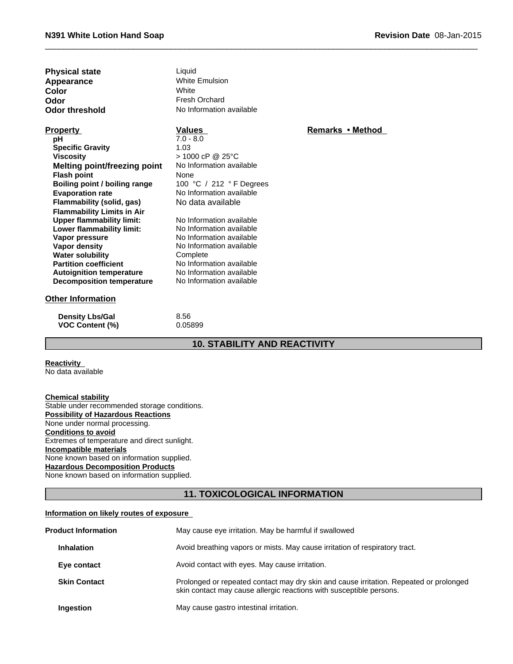| Physical state |   |
|----------------|---|
| Appearance     | N |
| Color          | N |
| Odor           |   |
| Odor threshold | N |

**Physical state Liquid Liquid** White Emulsion Fresh Orchard

### **Property pH Specific Gravity**

**Water solubility Complete**<br> **Partition coefficient** No Inform **Viscosity Autoignition temperature** No Information available<br> **Decomposition temperature** No Information available **Decomposition temperature Melting point/freezing point Flash point**<br> **Boiling point / boiling range 100 °C** / 212 ° F Degrees **Boiling point / boiling range<br>Evaporation rate Flammability (solid, gas)** No data available **Flammability Limits in Air**<br>**Upper flammability limit:** No Information available **Upper flammability limit:** Lower flammability limit: No Information available **Vapor pressure** No Information available **Vapor density** No Information available

#### **Other Information**

**No Information available Color** White White

### **Values**

> 1000 cP @ 25°C **No Information available** 7.0 - 8.0 1.03

No Information available<br>No Information available

### **Remarks•Method**

 $\overline{\phantom{a}}$  ,  $\overline{\phantom{a}}$  ,  $\overline{\phantom{a}}$  ,  $\overline{\phantom{a}}$  ,  $\overline{\phantom{a}}$  ,  $\overline{\phantom{a}}$  ,  $\overline{\phantom{a}}$  ,  $\overline{\phantom{a}}$  ,  $\overline{\phantom{a}}$  ,  $\overline{\phantom{a}}$  ,  $\overline{\phantom{a}}$  ,  $\overline{\phantom{a}}$  ,  $\overline{\phantom{a}}$  ,  $\overline{\phantom{a}}$  ,  $\overline{\phantom{a}}$  ,  $\overline{\phantom{a}}$ 

**Density Lbs/Gal** 8.56 **VOC Content (%)** 0.05899

## **10. STABILITY AND REACTIVITY**

#### **Reactivity**  No data available

#### **Chemical stability**

Stable under recommended storage conditions. **Possibility of Hazardous Reactions** None under normal processing. **Conditions to avoid** Extremes of temperature and direct sunlight. **Incompatible materials** None known based on information supplied. **Hazardous Decomposition Products** None known based on information supplied.

### **11. TOXICOLOGICAL INFORMATION**

#### **Information on likely routes of exposure**

| <b>Product Information</b> | May cause eye irritation. May be harmful if swallowed                                                                                                         |
|----------------------------|---------------------------------------------------------------------------------------------------------------------------------------------------------------|
| <b>Inhalation</b>          | Avoid breathing vapors or mists. May cause irritation of respiratory tract.                                                                                   |
| Eye contact                | Avoid contact with eyes. May cause irritation.                                                                                                                |
| <b>Skin Contact</b>        | Prolonged or repeated contact may dry skin and cause irritation. Repeated or prolonged<br>skin contact may cause allergic reactions with susceptible persons. |
| <b>Ingestion</b>           | May cause gastro intestinal irritation.                                                                                                                       |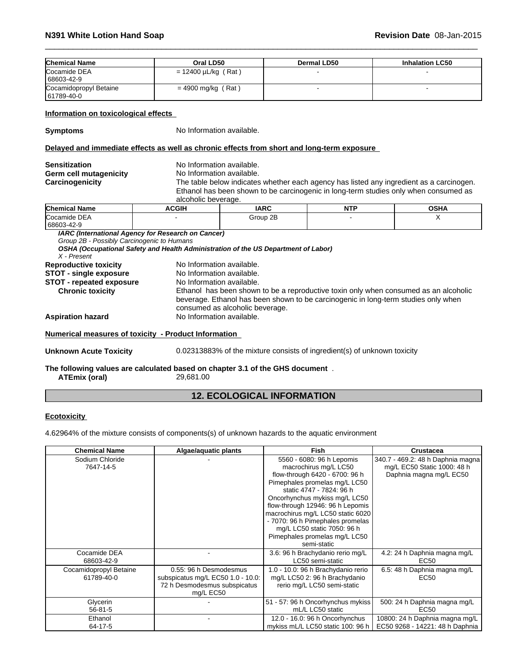| <b>Chemical Name</b>                       | Oral LD50                                                                                  |                                                                          | <b>Dermal LD50</b> | <b>Inhalation LC50</b>                                                                   |  |
|--------------------------------------------|--------------------------------------------------------------------------------------------|--------------------------------------------------------------------------|--------------------|------------------------------------------------------------------------------------------|--|
| Cocamide DEA<br>68603-42-9                 | $= 12400 \mu L/kg (Rat)$                                                                   |                                                                          |                    |                                                                                          |  |
| Cocamidopropyl Betaine<br>61789-40-0       | $= 4900$ mg/kg (Rat)                                                                       |                                                                          |                    |                                                                                          |  |
| Information on toxicological effects       |                                                                                            |                                                                          |                    |                                                                                          |  |
| <b>Symptoms</b>                            | No Information available.                                                                  |                                                                          |                    |                                                                                          |  |
|                                            | Delayed and immediate effects as well as chronic effects from short and long-term exposure |                                                                          |                    |                                                                                          |  |
| <b>Sensitization</b>                       | No Information available.                                                                  |                                                                          |                    |                                                                                          |  |
| <b>Germ cell mutagenicity</b>              | No Information available.                                                                  |                                                                          |                    |                                                                                          |  |
| Carcinogenicity                            |                                                                                            |                                                                          |                    | The table below indicates whether each agency has listed any ingredient as a carcinogen. |  |
|                                            | alcoholic beverage.                                                                        |                                                                          |                    | Ethanol has been shown to be carcinogenic in long-term studies only when consumed as     |  |
| <b>Chemical Name</b>                       | <b>ACGIH</b>                                                                               | <b>IARC</b>                                                              | <b>NTP</b>         | <b>OSHA</b>                                                                              |  |
| Cocamide DEA<br>68603-42-9                 |                                                                                            | Group 2B                                                                 |                    | X                                                                                        |  |
| Group 2B - Possibly Carcinogenic to Humans | IARC (International Agency for Research on Cancer)                                         |                                                                          |                    |                                                                                          |  |
| X - Present                                | OSHA (Occupational Safety and Health Administration of the US Department of Labor)         |                                                                          |                    |                                                                                          |  |
| <b>Reproductive toxicity</b>               | No Information available.                                                                  |                                                                          |                    |                                                                                          |  |
| STOT - single exposure                     | No Information available.                                                                  |                                                                          |                    |                                                                                          |  |
| <b>STOT - repeated exposure</b>            | No Information available.                                                                  |                                                                          |                    |                                                                                          |  |
| <b>Chronic toxicity</b>                    |                                                                                            |                                                                          |                    | Ethanol has been shown to be a reproductive toxin only when consumed as an alcoholic     |  |
|                                            |                                                                                            |                                                                          |                    | beverage. Ethanol has been shown to be carcinogenic in long-term studies only when       |  |
|                                            |                                                                                            | consumed as alcoholic beverage.                                          |                    |                                                                                          |  |
| <b>Aspiration hazard</b>                   |                                                                                            | No Information available.                                                |                    |                                                                                          |  |
|                                            | Numerical measures of toxicity - Product Information                                       |                                                                          |                    |                                                                                          |  |
| <b>Unknown Acute Toxicity</b>              |                                                                                            | 0.02313883% of the mixture consists of ingredient(s) of unknown toxicity |                    |                                                                                          |  |
|                                            | The following values are calculated based on chapter 3.1 of the GHS document.              |                                                                          |                    |                                                                                          |  |
| <b>ATEmix (oral)</b>                       | 29,681.00                                                                                  |                                                                          |                    |                                                                                          |  |

 $\overline{\phantom{a}}$  ,  $\overline{\phantom{a}}$  ,  $\overline{\phantom{a}}$  ,  $\overline{\phantom{a}}$  ,  $\overline{\phantom{a}}$  ,  $\overline{\phantom{a}}$  ,  $\overline{\phantom{a}}$  ,  $\overline{\phantom{a}}$  ,  $\overline{\phantom{a}}$  ,  $\overline{\phantom{a}}$  ,  $\overline{\phantom{a}}$  ,  $\overline{\phantom{a}}$  ,  $\overline{\phantom{a}}$  ,  $\overline{\phantom{a}}$  ,  $\overline{\phantom{a}}$  ,  $\overline{\phantom{a}}$ 

## **12. ECOLOGICAL INFORMATION**

### **Ecotoxicity**

4.62964% of the mixture consists of components(s) of unknown hazards to the aquatic environment

| <b>Chemical Name</b>                 | Algae/aquatic plants                                                                                     | Fish                                                                                                                                                                                                                                                                                                                                                            | <b>Crustacea</b>                                                                            |
|--------------------------------------|----------------------------------------------------------------------------------------------------------|-----------------------------------------------------------------------------------------------------------------------------------------------------------------------------------------------------------------------------------------------------------------------------------------------------------------------------------------------------------------|---------------------------------------------------------------------------------------------|
| Sodium Chloride<br>7647-14-5         |                                                                                                          | 5560 - 6080: 96 h Lepomis<br>macrochirus mg/L LC50<br>flow-through 6420 - 6700: 96 h<br>Pimephales promelas mg/L LC50<br>static 4747 - 7824: 96 h<br>Oncorhynchus mykiss mg/L LC50<br>flow-through 12946: 96 h Lepomis<br>macrochirus mg/L LC50 static 6020<br>- 7070: 96 h Pimephales promelas<br>mg/L LC50 static 7050: 96 h<br>Pimephales promelas mg/L LC50 | 340.7 - 469.2: 48 h Daphnia magna<br>mg/L EC50 Static 1000: 48 h<br>Daphnia magna mg/L EC50 |
| Cocamide DEA<br>68603-42-9           |                                                                                                          | semi-static<br>3.6: 96 h Brachydanio rerio mg/L<br>LC50 semi-static                                                                                                                                                                                                                                                                                             | 4.2: 24 h Daphnia magna mg/L<br>EC <sub>50</sub>                                            |
| Cocamidopropyl Betaine<br>61789-40-0 | 0.55: 96 h Desmodesmus<br>subspicatus mg/L EC50 1.0 - 10.0:<br>72 h Desmodesmus subspicatus<br>mg/L EC50 | 1.0 - 10.0: 96 h Brachydanio rerio<br>mg/L LC50 2: 96 h Brachydanio<br>rerio mg/L LC50 semi-static                                                                                                                                                                                                                                                              | 6.5: 48 h Daphnia magna mg/L<br>EC50                                                        |
| Glycerin<br>$56 - 81 - 5$            |                                                                                                          | 51 - 57: 96 h Oncorhynchus mykiss<br>mL/L LC50 static                                                                                                                                                                                                                                                                                                           | 500: 24 h Daphnia magna mg/L<br>EC50                                                        |
| Ethanol<br>64-17-5                   |                                                                                                          | 12.0 - 16.0: 96 h Oncorhynchus<br>mykiss mL/L LC50 static 100: 96 h                                                                                                                                                                                                                                                                                             | 10800: 24 h Daphnia magna mg/L<br>EC50 9268 - 14221: 48 h Daphnia                           |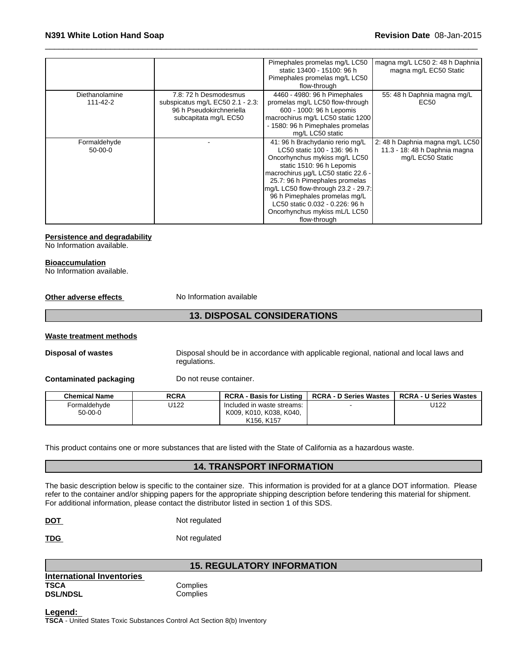|                |                                  | Pimephales promelas mg/L LC50<br>static 13400 - 15100: 96 h | magna mg/L LC50 2: 48 h Daphnia<br>magna mg/L EC50 Static |
|----------------|----------------------------------|-------------------------------------------------------------|-----------------------------------------------------------|
|                |                                  | Pimephales promelas mg/L LC50                               |                                                           |
|                |                                  | flow-through                                                |                                                           |
| Diethanolamine | 7.8: 72 h Desmodesmus            | 4460 - 4980: 96 h Pimephales                                | 55: 48 h Daphnia magna mg/L                               |
| 111-42-2       | subspicatus mg/L EC50 2.1 - 2.3: | promelas mg/L LC50 flow-through                             | EC50                                                      |
|                | 96 h Pseudokirchneriella         | 600 - 1000: 96 h Lepomis                                    |                                                           |
|                | subcapitata mg/L EC50            | macrochirus mg/L LC50 static 1200                           |                                                           |
|                |                                  | - 1580: 96 h Pimephales promelas                            |                                                           |
|                |                                  | mg/L LC50 static                                            |                                                           |
| Formaldehyde   |                                  | 41: 96 h Brachydanio rerio mg/L                             | 2: 48 h Daphnia magna mg/L LC50                           |
| $50-00-0$      |                                  | LC50 static 100 - 136: 96 h                                 | 11.3 - 18: 48 h Daphnia magna                             |
|                |                                  | Oncorhynchus mykiss mg/L LC50                               | mg/L EC50 Static                                          |
|                |                                  | static 1510: 96 h Lepomis                                   |                                                           |
|                |                                  | macrochirus µq/L LC50 static 22.6 -                         |                                                           |
|                |                                  | 25.7: 96 h Pimephales promelas                              |                                                           |
|                |                                  | mg/L LC50 flow-through 23.2 - 29.7:                         |                                                           |
|                |                                  | 96 h Pimephales promelas mg/L                               |                                                           |
|                |                                  | LC50 static 0.032 - 0.226: 96 h                             |                                                           |
|                |                                  | Oncorhynchus mykiss mL/L LC50                               |                                                           |
|                |                                  | flow-through                                                |                                                           |

 $\overline{\phantom{a}}$  ,  $\overline{\phantom{a}}$  ,  $\overline{\phantom{a}}$  ,  $\overline{\phantom{a}}$  ,  $\overline{\phantom{a}}$  ,  $\overline{\phantom{a}}$  ,  $\overline{\phantom{a}}$  ,  $\overline{\phantom{a}}$  ,  $\overline{\phantom{a}}$  ,  $\overline{\phantom{a}}$  ,  $\overline{\phantom{a}}$  ,  $\overline{\phantom{a}}$  ,  $\overline{\phantom{a}}$  ,  $\overline{\phantom{a}}$  ,  $\overline{\phantom{a}}$  ,  $\overline{\phantom{a}}$ 

#### **Persistence and degradability**

No Information available.

#### **Bioaccumulation**

No Information available.

**Other adverse effects** No Information available

### **13. DISPOSAL CONSIDERATIONS**

#### **Waste treatment methods**

**Disposal of wastes** Disposal should be in accordance with applicable regional, national and local laws and regulations.

**Contaminated packaging Do not reuse container.** 

| <b>Chemical Name</b>          | <b>RCRA</b> | <b>RCRA - Basis for Listing</b>                                                              | <b>RCRA - D Series Wastes</b> | <b>RCRA - U Series Wastes</b> |
|-------------------------------|-------------|----------------------------------------------------------------------------------------------|-------------------------------|-------------------------------|
| Formaldehvde<br>$50 - 00 - 0$ | U122        | Included in waste streams:<br>K009, K010, K038, K040,<br>K <sub>156</sub> , K <sub>157</sub> |                               | U122                          |

This product contains one or more substances that are listed with the State of California as a hazardous waste.

### **14. TRANSPORT INFORMATION**

The basic description below is specific to the container size. This information is provided for at a glance DOT information. Please refer to the container and/or shipping papers for the appropriate shipping description before tendering this material for shipment. For additional information, please contact the distributor listed in section 1 of this SDS.

| <b>DOT</b> | Not regulated |
|------------|---------------|
|            |               |

TDG Not regulated

| International Inventories |     |
|---------------------------|-----|
| TSCA                      | Cor |
| <b>DSL/NDSL</b>           | Cor |
|                           |     |

### **15. REGULATORY INFORMATION**

**Complies Complies** 

**Legend: TSCA** - United States Toxic Substances Control Act Section 8(b) Inventory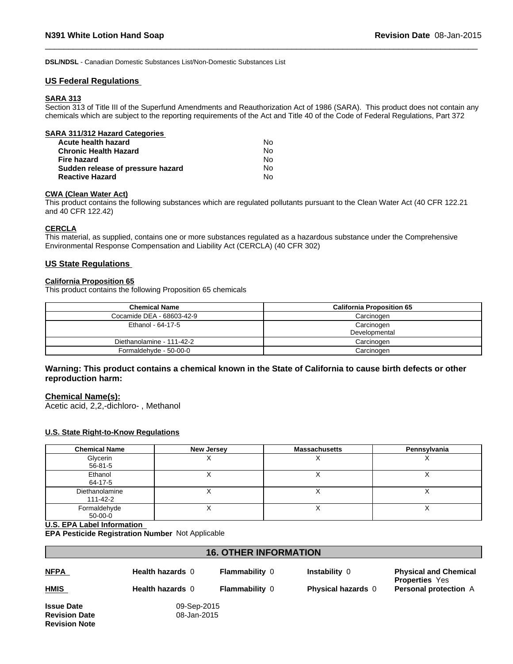**DSL/NDSL** - Canadian Domestic Substances List/Non-Domestic Substances List

#### **US Federal Regulations**

### **SARA 313**

Section 313 of Title III of the Superfund Amendments and Reauthorization Act of 1986 (SARA). This product does not contain any chemicals which are subject to the reporting requirements of the Act and Title 40 of the Code of Federal Regulations, Part 372

 $\overline{\phantom{a}}$  ,  $\overline{\phantom{a}}$  ,  $\overline{\phantom{a}}$  ,  $\overline{\phantom{a}}$  ,  $\overline{\phantom{a}}$  ,  $\overline{\phantom{a}}$  ,  $\overline{\phantom{a}}$  ,  $\overline{\phantom{a}}$  ,  $\overline{\phantom{a}}$  ,  $\overline{\phantom{a}}$  ,  $\overline{\phantom{a}}$  ,  $\overline{\phantom{a}}$  ,  $\overline{\phantom{a}}$  ,  $\overline{\phantom{a}}$  ,  $\overline{\phantom{a}}$  ,  $\overline{\phantom{a}}$ 

| SARA 311/312 Hazard Categories    |    |  |
|-----------------------------------|----|--|
| Acute health hazard               | N٥ |  |
| <b>Chronic Health Hazard</b>      | Nο |  |
| Fire hazard                       | No |  |
| Sudden release of pressure hazard | No |  |
| <b>Reactive Hazard</b>            | N٥ |  |

#### **CWA (Clean Water Act)**

This product contains the following substances which are regulated pollutants pursuant to the Clean Water Act (40 CFR 122.21 and 40 CFR 122.42)

#### **CERCLA**

This material, as supplied, contains one or more substances regulated as a hazardous substance under the Comprehensive Environmental Response Compensation and Liability Act (CERCLA) (40 CFR 302)

#### **US State Regulations**

### **California Proposition 65**

This product contains the following Proposition 65 chemicals

| <b>Chemical Name</b>      | <b>California Proposition 65</b> |
|---------------------------|----------------------------------|
| Cocamide DEA - 68603-42-9 | Carcinogen                       |
| Ethanol - 64-17-5         | Carcinogen                       |
|                           | Developmental                    |
| Diethanolamine - 111-42-2 | Carcinogen                       |
| Formaldehyde - 50-00-0    | Carcinogen                       |

### **Warning: This product contains a chemical known in the State of California to cause birth defects or other reproduction harm:**

#### **Chemical Name(s):**

Acetic acid, 2,2,-dichloro- , Methanol

#### **U.S. State Right-to-Know Regulations**

| <b>Chemical Name</b>       | <b>New Jersey</b> | <b>Massachusetts</b> | Pennsylvania |
|----------------------------|-------------------|----------------------|--------------|
| Glycerin<br>56-81-5        |                   |                      |              |
| Ethanol<br>64-17-5         |                   |                      |              |
| Diethanolamine<br>111-42-2 |                   |                      |              |
| Formaldehyde<br>$50-00-0$  |                   |                      |              |

#### **U.S. EPA Label Information**

**EPA Pesticide Registration Number** Not Applicable

| <b>16. OTHER INFORMATION</b> |                  |                       |                           |                                                       |
|------------------------------|------------------|-----------------------|---------------------------|-------------------------------------------------------|
| <u>NFPA</u>                  | Health hazards 0 | <b>Flammability 0</b> | Instability 0             | <b>Physical and Chemical</b><br><b>Properties</b> Yes |
| <b>HMIS</b>                  | Health hazards 0 | <b>Flammability 0</b> | <b>Physical hazards 0</b> | <b>Personal protection</b> A                          |
| <b>Issue Date</b>            | 09-Sep-2015      |                       |                           |                                                       |
| <b>Revision Date</b>         | 08-Jan-2015      |                       |                           |                                                       |

**Revision Note**